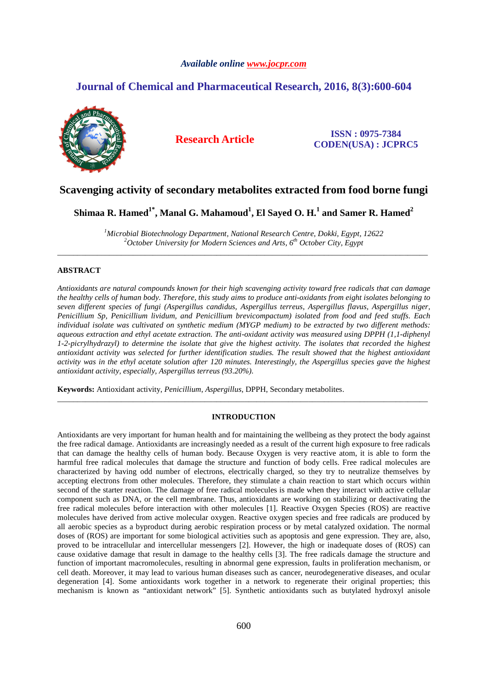# *Available online www.jocpr.com*

# **Journal of Chemical and Pharmaceutical Research, 2016, 8(3):600-604**



**Research Article ISSN : 0975-7384 CODEN(USA) : JCPRC5**

# **Scavenging activity of secondary metabolites extracted from food borne fungi**

**Shimaa R. Hamed1\*, Manal G. Mahamoud<sup>1</sup> , El Sayed O. H.<sup>1</sup> and Samer R. Hamed<sup>2</sup>**

*<sup>1</sup>Microbial Biotechnology Department, National Research Centre, Dokki, Egypt, 12622 <sup>2</sup>October University for Modern Sciences and Arts, 6th October City, Egypt*  \_\_\_\_\_\_\_\_\_\_\_\_\_\_\_\_\_\_\_\_\_\_\_\_\_\_\_\_\_\_\_\_\_\_\_\_\_\_\_\_\_\_\_\_\_\_\_\_\_\_\_\_\_\_\_\_\_\_\_\_\_\_\_\_\_\_\_\_\_\_\_\_\_\_\_\_\_\_\_\_\_\_\_\_\_\_\_\_\_\_\_\_\_

# **ABSTRACT**

*Antioxidants are natural compounds known for their high scavenging activity toward free radicals that can damage the healthy cells of human body. Therefore, this study aims to produce anti-oxidants from eight isolates belonging to seven different species of fungi (Aspergillus candidus, Aspergillus terreus, Aspergillus flavus, Aspergillus niger, Penicillium Sp, Penicillium lividum, and Penicillium brevicompactum) isolated from food and feed stuffs. Each individual isolate was cultivated on synthetic medium (MYGP medium) to be extracted by two different methods: aqueous extraction and ethyl acetate extraction. The anti-oxidant activity was measured using DPPH (1,1-diphenyl 1-2-picrylhydrazyl) to determine the isolate that give the highest activity. The isolates that recorded the highest antioxidant activity was selected for further identification studies. The result showed that the highest antioxidant activity was in the ethyl acetate solution after 120 minutes. Interestingly, the Aspergillus species gave the highest antioxidant activity, especially, Aspergillus terreus (93.20%).* 

**Keywords:** Antioxidant activity, *Penicillium*, *Aspergillus*, DPPH, Secondary metabolites.

# **INTRODUCTION**

\_\_\_\_\_\_\_\_\_\_\_\_\_\_\_\_\_\_\_\_\_\_\_\_\_\_\_\_\_\_\_\_\_\_\_\_\_\_\_\_\_\_\_\_\_\_\_\_\_\_\_\_\_\_\_\_\_\_\_\_\_\_\_\_\_\_\_\_\_\_\_\_\_\_\_\_\_\_\_\_\_\_\_\_\_\_\_\_\_\_\_\_\_

Antioxidants are very important for human health and for maintaining the wellbeing as they protect the body against the free radical damage. Antioxidants are increasingly needed as a result of the current high exposure to free radicals that can damage the healthy cells of human body. Because Oxygen is very reactive atom, it is able to form the harmful free radical molecules that damage the structure and function of body cells. Free radical molecules are characterized by having odd number of electrons, electrically charged, so they try to neutralize themselves by accepting electrons from other molecules. Therefore, they stimulate a chain reaction to start which occurs within second of the starter reaction. The damage of free radical molecules is made when they interact with active cellular component such as DNA, or the cell membrane. Thus, antioxidants are working on stabilizing or deactivating the free radical molecules before interaction with other molecules [1]. Reactive Oxygen Species (ROS) are reactive molecules have derived from active molecular oxygen. Reactive oxygen species and free radicals are produced by all aerobic species as a byproduct during aerobic respiration process or by metal catalyzed oxidation. The normal doses of (ROS) are important for some biological activities such as apoptosis and gene expression. They are, also, proved to be intracellular and intercellular messengers [2]. However, the high or inadequate doses of (ROS) can cause oxidative damage that result in damage to the healthy cells [3]. The free radicals damage the structure and function of important macromolecules, resulting in abnormal gene expression, faults in proliferation mechanism, or cell death. Moreover, it may lead to various human diseases such as cancer, neurodegenerative diseases, and ocular degeneration [4]. Some antioxidants work together in a network to regenerate their original properties; this mechanism is known as "antioxidant network" [5]. Synthetic antioxidants such as butylated hydroxyl anisole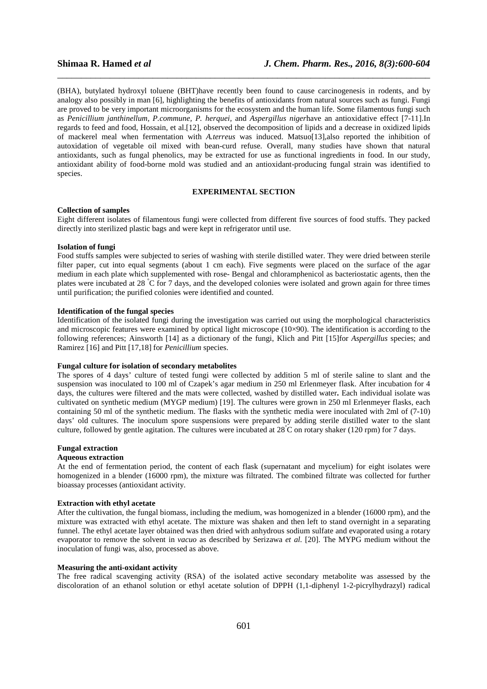(BHA), butylated hydroxyl toluene (BHT)have recently been found to cause carcinogenesis in rodents, and by analogy also possibly in man [6], highlighting the benefits of antioxidants from natural sources such as fungi. Fungi are proved to be very important microorganisms for the ecosystem and the human life. Some filamentous fungi such as *Penicillium janthinellum, P.commune, P. herquei,* and *Aspergillus niger*have an antioxidative effect [7-11].In regards to feed and food, Hossain, et al.[12], observed the decomposition of lipids and a decrease in oxidized lipids of mackerel meal when fermentation with *A.terreus* was induced. Matsuo[13],also reported the inhibition of autoxidation of vegetable oil mixed with bean-curd refuse*.* Overall, many studies have shown that natural antioxidants, such as fungal phenolics, may be extracted for use as functional ingredients in food. In our study, antioxidant ability of food-borne mold was studied and an antioxidant-producing fungal strain was identified to species.

\_\_\_\_\_\_\_\_\_\_\_\_\_\_\_\_\_\_\_\_\_\_\_\_\_\_\_\_\_\_\_\_\_\_\_\_\_\_\_\_\_\_\_\_\_\_\_\_\_\_\_\_\_\_\_\_\_\_\_\_\_\_\_\_\_\_\_\_\_\_\_\_\_\_\_\_\_\_

# **EXPERIMENTAL SECTION**

#### **Collection of samples**

Eight different isolates of filamentous fungi were collected from different five sources of food stuffs. They packed directly into sterilized plastic bags and were kept in refrigerator until use.

## **Isolation of fungi**

Food stuffs samples were subjected to series of washing with sterile distilled water. They were dried between sterile filter paper, cut into equal segments (about 1 cm each). Five segments were placed on the surface of the agar medium in each plate which supplemented with rose- Bengal and chloramphenicol as bacteriostatic agents, then the plates were incubated at 28 °C for 7 days, and the developed colonies were isolated and grown again for three times until purification; the purified colonies were identified and counted.

#### **Identification of the fungal species**

Identification of the isolated fungi during the investigation was carried out using the morphological characteristics and microscopic features were examined by optical light microscope (10×90). The identification is according to the following references; Ainsworth [14] as a dictionary of the fungi, Klich and Pitt [15]for *Aspergillus* species; and Ramirez [16] and Pitt [17,18] for *Penicillium* species.

# **Fungal culture for isolation of secondary metabolites**

The spores of 4 days' culture of tested fungi were collected by addition 5 ml of sterile saline to slant and the suspension was inoculated to 100 ml of Czapek's agar medium in 250 ml Erlenmeyer flask. After incubation for 4 days, the cultures were filtered and the mats were collected, washed by distilled water**.** Each individual isolate was cultivated on synthetic medium (MYGP medium) [19]. The cultures were grown in 250 ml Erlenmeyer flasks, each containing 50 ml of the synthetic medium. The flasks with the synthetic media were inoculated with 2ml of (7-10) days' old cultures. The inoculum spore suspensions were prepared by adding sterile distilled water to the slant culture, followed by gentle agitation. The cultures were incubated at  $28^{\circ}$ C on rotary shaker (120 rpm) for 7 days.

### **Fungal extraction**

#### **Aqueous extraction**

At the end of fermentation period, the content of each flask (supernatant and mycelium) for eight isolates were homogenized in a blender (16000 rpm), the mixture was filtrated. The combined filtrate was collected for further bioassay processes (antioxidant activity.

#### **Extraction with ethyl acetate**

After the cultivation, the fungal biomass, including the medium, was homogenized in a blender (16000 rpm), and the mixture was extracted with ethyl acetate. The mixture was shaken and then left to stand overnight in a separating funnel. The ethyl acetate layer obtained was then dried with anhydrous sodium sulfate and evaporated using a rotary evaporator to remove the solvent in *vacuo* as described by Serizawa *et al.* [20]. The MYPG medium without the inoculation of fungi was, also, processed as above.

## **Measuring the anti-oxidant activity**

The free radical scavenging activity (RSA) of the isolated active secondary metabolite was assessed by the discoloration of an ethanol solution or ethyl acetate solution of DPPH (1,1-diphenyl 1-2-picrylhydrazyl) radical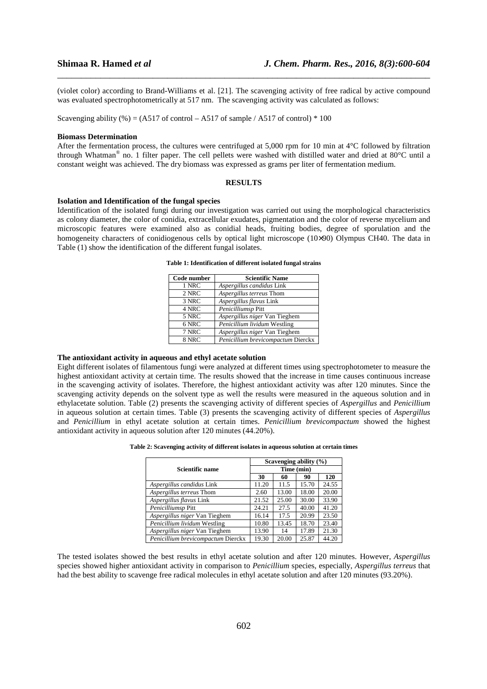(violet color) according to Brand-Williams et al. [21]. The scavenging activity of free radical by active compound was evaluated spectrophotometrically at 517 nm. The scavenging activity was calculated as follows:

\_\_\_\_\_\_\_\_\_\_\_\_\_\_\_\_\_\_\_\_\_\_\_\_\_\_\_\_\_\_\_\_\_\_\_\_\_\_\_\_\_\_\_\_\_\_\_\_\_\_\_\_\_\_\_\_\_\_\_\_\_\_\_\_\_\_\_\_\_\_\_\_\_\_\_\_\_\_

Scavenging ability (%) = (A517 of control – A517 of sample / A517 of control)  $*$  100

#### **Biomass Determination**

After the fermentation process, the cultures were centrifuged at 5,000 rpm for 10 min at  $4^{\circ}$ C followed by filtration through Whatman® no. 1 filter paper. The cell pellets were washed with distilled water and dried at 80°C until a constant weight was achieved. The dry biomass was expressed as grams per liter of fermentation medium.

### **RESULTS**

#### **Isolation and Identification of the fungal species**

Identification of the isolated fungi during our investigation was carried out using the morphological characteristics as colony diameter, the color of conidia, extracellular exudates, pigmentation and the color of reverse mycelium and microscopic features were examined also as conidial heads, fruiting bodies, degree of sporulation and the homogeneity characters of conidiogenous cells by optical light microscope (10×90) Olympus CH40. The data in Table (1) show the identification of the different fungal isolates.

| Code number | <b>Scientific Name</b>             |
|-------------|------------------------------------|
| 1 NRC       | Aspergillus candidus Link          |
| 2 NRC       | Aspergillus terreus Thom           |
| 3 NRC       | Aspergillus flavus Link            |
| 4 NRC       | Penicilliumsp Pitt                 |
| 5 NRC       | Aspergillus niger Van Tieghem      |
| 6 NRC       | Penicillium lividum Westling       |
| 7 NRC       | Aspergillus niger Van Tieghem      |
| 8 NRC       | Penicillium brevicompactum Dierckx |

#### **Table 1: Identification of different isolated fungal strains**

#### **The antioxidant activity in aqueous and ethyl acetate solution**

Eight different isolates of filamentous fungi were analyzed at different times using spectrophotometer to measure the highest antioxidant activity at certain time. The results showed that the increase in time causes continuous increase in the scavenging activity of isolates. Therefore, the highest antioxidant activity was after 120 minutes. Since the scavenging activity depends on the solvent type as well the results were measured in the aqueous solution and in ethylacetate solution. Table (2) presents the scavenging activity of different species of *Aspergillus* and *Penicillium*  in aqueous solution at certain times. Table (3) presents the scavenging activity of different species of *Aspergillus*  and *Penicillium* in ethyl acetate solution at certain times. *Penicillium brevicompactum* showed the highest antioxidant activity in aqueous solution after 120 minutes (44.20%).

| Table 2: Scavenging activity of different isolates in aqueous solution at certain times |  |  |  |  |  |  |
|-----------------------------------------------------------------------------------------|--|--|--|--|--|--|
|-----------------------------------------------------------------------------------------|--|--|--|--|--|--|

|                                    | Scavenging ability $(\% )$ |       |       |       |  |
|------------------------------------|----------------------------|-------|-------|-------|--|
| <b>Scientific name</b>             | Time (min)                 |       |       |       |  |
|                                    | 30                         | 60    | 90    | 120   |  |
| Aspergillus candidus Link          | 11.20                      | 11.5  | 15.70 | 24.55 |  |
| Aspergillus terreus Thom           | 2.60                       | 13.00 | 18.00 | 20.00 |  |
| Aspergillus flavus Link            | 21.52                      | 25.00 | 30.00 | 33.90 |  |
| Penicilliumsp Pitt                 | 24.21                      | 27.5  | 40.00 | 41.20 |  |
| Aspergillus niger Van Tieghem      | 16.14                      | 17.5  | 20.99 | 23.50 |  |
| Penicillium lividum Westling       | 10.80                      | 13.45 | 18.70 | 23.40 |  |
| Aspergillus niger Van Tieghem      | 13.90                      | 14    | 17.89 | 21.30 |  |
| Penicillium brevicompactum Dierckx | 19.30                      | 20.00 | 25.87 | 44.20 |  |

The tested isolates showed the best results in ethyl acetate solution and after 120 minutes. However, *Aspergillus*  species showed higher antioxidant activity in comparison to *Penicillium* species, especially, *Aspergillus terreus* that had the best ability to scavenge free radical molecules in ethyl acetate solution and after 120 minutes (93.20%).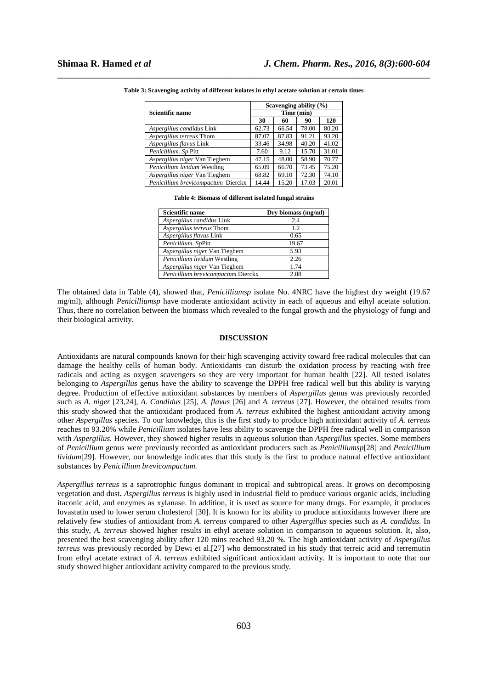|                                    | Scavenging ability $(\%)$ |       |       |       |  |
|------------------------------------|---------------------------|-------|-------|-------|--|
| <b>Scientific name</b>             | Time (min)                |       |       |       |  |
|                                    | 30                        | 60    | 90    | 120   |  |
| Aspergillus candidus Link          | 62.73                     | 66.54 | 78.00 | 80.20 |  |
| Aspergillus terreus Thom           | 87.07                     | 87.83 | 91.21 | 93.20 |  |
| Aspergillus flavus Link            | 33.46                     | 34.98 | 40.20 | 41.02 |  |
| Penicillium. Sp Pitt               | 7.60                      | 9.12  | 15.70 | 31.01 |  |
| Aspergillus niger Van Tieghem      | 47.15                     | 48.00 | 58.90 | 70.77 |  |
| Penicillium lividum Westling       | 65.09                     | 66.70 | 73.45 | 75.20 |  |
| Aspergillus niger Van Tieghem      | 68.82                     | 69.10 | 72.30 | 74.10 |  |
| Penicillium brevicompactum Dierckx | 14.44                     | 15.20 | 17.03 | 20.01 |  |

\_\_\_\_\_\_\_\_\_\_\_\_\_\_\_\_\_\_\_\_\_\_\_\_\_\_\_\_\_\_\_\_\_\_\_\_\_\_\_\_\_\_\_\_\_\_\_\_\_\_\_\_\_\_\_\_\_\_\_\_\_\_\_\_\_\_\_\_\_\_\_\_\_\_\_\_\_\_ **Table 3: Scavenging activity of different isolates in ethyl acetate solution at certain times** 

| Table 4: Biomass of different isolated fungal strains |  |  |  |
|-------------------------------------------------------|--|--|--|
|-------------------------------------------------------|--|--|--|

| <b>Scientific name</b>             | Dry biomass (mg/ml) |
|------------------------------------|---------------------|
| Aspergillus candidus Link          | 2.4                 |
| Aspergillus terreus Thom           | 12                  |
| Aspergillus flavus Link            | 0.65                |
| Penicillium. SpPitt                | 19.67               |
| Aspergillus niger Van Tieghem      | 5.93                |
| Penicillium lividum Westling       | 2.26                |
| Aspergillus niger Van Tieghem      | 1.74                |
| Penicillium brevicompactum Dierckx | 2.08                |

The obtained data in Table (4), showed that, *Penicilliumsp* isolate No. 4NRC have the highest dry weight (19.67 mg/ml), although *Penicilliumsp* have moderate antioxidant activity in each of aqueous and ethyl acetate solution. Thus, there no correlation between the biomass which revealed to the fungal growth and the physiology of fungi and their biological activity.

#### **DISCUSSION**

Antioxidants are natural compounds known for their high scavenging activity toward free radical molecules that can damage the healthy cells of human body. Antioxidants can disturb the oxidation process by reacting with free radicals and acting as oxygen scavengers so they are very important for human health [22]. All tested isolates belonging to *Aspergillus* genus have the ability to scavenge the DPPH free radical well but this ability is varying degree. Production of effective antioxidant substances by members of *Aspergillus* genus was previously recorded such as *A. niger* [23,24], *A. Candidus* [25], *A. flavus* [26] and *A. terreus* [27]. However, the obtained results from this study showed that the antioxidant produced from *A. terreus* exhibited the highest antioxidant activity among other *Aspergillus* species. To our knowledge, this is the first study to produce high antioxidant activity of *A. terreus*  reaches to 93.20% while *Penicillium* isolates have less ability to scavenge the DPPH free radical well in comparison with *Aspergillus.* However, they showed higher results in aqueous solution than *Aspergillus* species. Some members of *Penicillium* genus were previously recorded as antioxidant producers such as *Penicilliumsp*[28] and *Penicillium lividum*[29]. However, our knowledge indicates that this study is the first to produce natural effective antioxidant substances by *Penicillium brevicompactum.* 

*Aspergillus terreus* is a saprotrophic fungus dominant in tropical and subtropical areas. It grows on decomposing vegetation and dust**.** *Aspergillus terreus* is highly used in industrial field to produce various organic acids, including itaconic acid, and enzymes as xylanase. In addition, it is used as source for many drugs. For example, it produces lovastatin used to lower serum cholesterol [30]. It is known for its ability to produce antioxidants however there are relatively few studies of antioxidant from *A. terreus* compared to other *Aspergillus* species such as *A. candidus.* In this study, *A. terreus* showed higher results in ethyl acetate solution in comparison to aqueous solution. It, also, presented the best scavenging ability after 120 mins reached 93.20 %. The high antioxidant activity of *Aspergillus terreus* was previously recorded by Dewi et al.[27] who demonstrated in his study that terreic acid and terremutin from ethyl acetate extract of *A. terreus* exhibited significant antioxidant activity. It is important to note that our study showed higher antioxidant activity compared to the previous study.